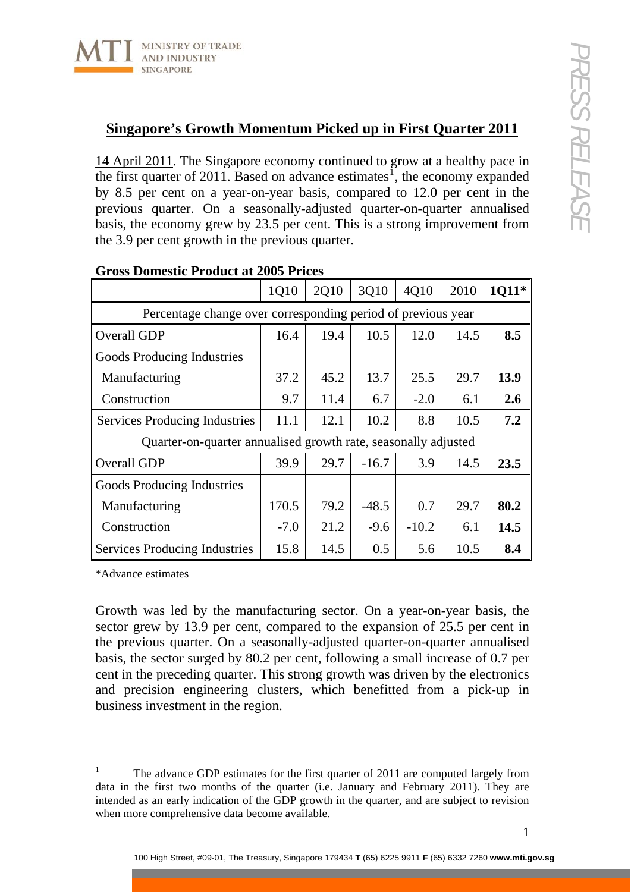

## **Singapore's Growth Momentum Picked up in First Quarter 2011**

14 April 2011. The Singapore economy continued to grow at a healthy pace in the first quarter of 20[1](#page-0-0)1. Based on advance estimates<sup>1</sup>, the economy expanded by 8.5 per cent on a year-on-year basis, compared to 12.0 per cent in the previous quarter. On a seasonally-adjusted quarter-on-quarter annualised basis, the economy grew by 23.5 per cent. This is a strong improvement from the 3.9 per cent growth in the previous quarter.

| oross Domestic Frounce at 2000 Fric                            |        |      |         |         |      |       |
|----------------------------------------------------------------|--------|------|---------|---------|------|-------|
|                                                                | 1Q10   | 2Q10 | 3Q10    | 4Q10    | 2010 | 1011* |
| Percentage change over corresponding period of previous year   |        |      |         |         |      |       |
| Overall GDP                                                    | 16.4   | 19.4 | 10.5    | 12.0    | 14.5 | 8.5   |
| Goods Producing Industries                                     |        |      |         |         |      |       |
| Manufacturing                                                  | 37.2   | 45.2 | 13.7    | 25.5    | 29.7 | 13.9  |
| Construction                                                   | 9.7    | 11.4 | 6.7     | $-2.0$  | 6.1  | 2.6   |
| <b>Services Producing Industries</b>                           | 11.1   | 12.1 | 10.2    | 8.8     | 10.5 | 7.2   |
| Quarter-on-quarter annualised growth rate, seasonally adjusted |        |      |         |         |      |       |
| Overall GDP                                                    | 39.9   | 29.7 | $-16.7$ | 3.9     | 14.5 | 23.5  |
| Goods Producing Industries                                     |        |      |         |         |      |       |
| Manufacturing                                                  | 170.5  | 79.2 | $-48.5$ | 0.7     | 29.7 | 80.2  |
| Construction                                                   | $-7.0$ | 21.2 | $-9.6$  | $-10.2$ | 6.1  | 14.5  |
| Services Producing Industries                                  | 15.8   | 14.5 | 0.5     | 5.6     | 10.5 | 8.4   |

## **Gross Domestic Product at 2005 Prices**

\*Advance estimates

Growth was led by the manufacturing sector. On a year-on-year basis, the sector grew by 13.9 per cent, compared to the expansion of 25.5 per cent in the previous quarter. On a seasonally-adjusted quarter-on-quarter annualised basis, the sector surged by 80.2 per cent, following a small increase of 0.7 per cent in the preceding quarter. This strong growth was driven by the electronics and precision engineering clusters, which benefitted from a pick-up in business investment in the region.

<span id="page-0-0"></span> $\frac{1}{1}$  The advance GDP estimates for the first quarter of 2011 are computed largely from data in the first two months of the quarter (i.e. January and February 2011). They are intended as an early indication of the GDP growth in the quarter, and are subject to revision when more comprehensive data become available.